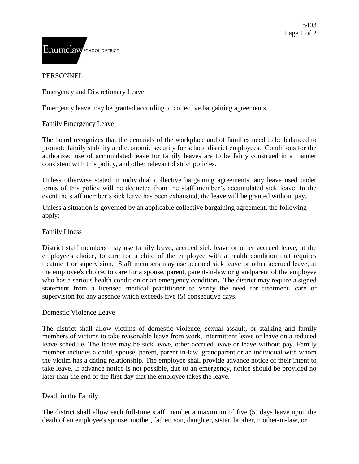# **PERSONNEL**

# Emergency and Discretionary Leave

Emergency leave may be granted according to collective bargaining agreements.

## Family Emergency Leave

The board recognizes that the demands of the workplace and of families need to be balanced to promote family stability and economic security for school district employees. Conditions for the authorized use of accumulated leave for family leaves are to be fairly construed in a manner consistent with this policy, and other relevant district policies.

Unless otherwise stated in individual collective bargaining agreements, any leave used under terms of this policy will be deducted from the staff member's accumulated sick leave. In the event the staff member's sick leave has been exhausted, the leave will be granted without pay.

Unless a situation is governed by an applicable collective bargaining agreement, the following apply:

#### Family Illness

District staff members may use family leave**,** accrued sick leave or other accrued leave, at the employee's choice**,** to care for a child of the employee with a health condition that requires treatment or supervision. Staff members may use accrued sick leave or other accrued leave, at the employee's choice, to care for a spouse, parent, parent-in-law or grandparent of the employee who has a serious health condition or an emergency condition**.** The district may require a signed statement from a licensed medical practitioner to verify the need for treatment**,** care or supervision for any absence which exceeds five (5) consecutive days.

#### Domestic Violence Leave

The district shall allow victims of domestic violence, sexual assault, or stalking and family members of victims to take reasonable leave from work, intermittent leave or leave on a reduced leave schedule. The leave may be sick leave, other accrued leave or leave without pay. Family member includes a child, spouse, parent, parent in-law, grandparent or an individual with whom the victim has a dating relationship. The employee shall provide advance notice of their intent to take leave. If advance notice is not possible, due to an emergency, notice should be provided no later than the end of the first day that the employee takes the leave.

# Death in the Family

The district shall allow each full-time staff member a maximum of five (5) days leave upon the death of an employee's spouse, mother, father, son, daughter, sister, brother, mother-in-law, or